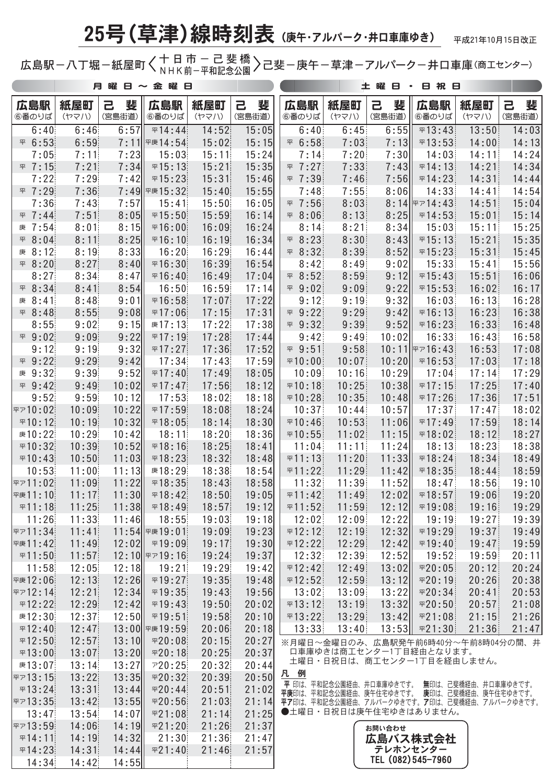## 25号 (草津)線時刻表 (庚午·アルパーク·井口車庫ゆき) 平成21年10月15日改正

広島駅-八丁堀-紙屋町く十 日 市 - 己 斐 橋 〉 己斐-庚午-草津-アルパーク-井口車庫(商エセンター)

|                                     |              |                  | 月曜日~金曜日                    |                | 土曜日・<br>日祝日      |                     |                         |                  |                                                       |                     |                  |  |
|-------------------------------------|--------------|------------------|----------------------------|----------------|------------------|---------------------|-------------------------|------------------|-------------------------------------------------------|---------------------|------------------|--|
| 広島駅<br>⑥番のりば                        | 紙屋町<br>(ヤマハ) | 斐<br>己<br>(宮島街道) | 広島駅<br>⑥番のりば               | 紙屋町<br>(ヤマハ)   | 斐<br>己<br>(宮島街道) | 広島駅<br>⑥番のりば        | 紙屋町<br>(ヤマハ)            | 斐<br>己<br>(宮島街道) | 広島駅<br>⑥番のりば                                          | 紙屋町<br>(ヤマハ)        | 斐<br>己<br>(宮島街道) |  |
| 6:40                                | 6:46         | $6:57$           | $F = 14:44$                | 14:52          | 15:05            | 6:40                | 6:45                    | 6:55             | $\Pi$ 13:43                                           | 13:50               | 14:03            |  |
| $\overline{4}$ 6:53                 | 6:59         |                  | 7:11 平庚 14:54              | 15:02          | 15:15            | $\overline{4}$ 6:58 | 7:03                    | 7:13             | $\sqrt{413:53}$                                       | 14:00:              | 14:13            |  |
| 7:05                                | 7:11         | 7:23             | 15:03                      | 15:11          | 15:24            | 7:14                | 7:20                    | 7:30             | 14:03                                                 | 14:11               | 14:24            |  |
| F 7:15                              | 7:21         | 7:34             | $\Pi$ 15:13                | 15:21          | 15:35            | F 7:27              | 7:33                    | 7:43             | F14:13                                                | 14:21               | 14:34            |  |
| 7:22                                | 7:29         | 7:42             | $\sqrt{415:23}$            | 15:31          | 15:46            | F 7:39              | 7:46                    | 7:56             | $\sqrt{4}$ : 23:                                      | 14:31               | 14:44            |  |
| F 7:29                              | 7:36         |                  | 7:49 平庚 15:32              | 15:40          | 15:55            | 7:48                | 7:55                    | 8:06             | 14:33                                                 | 14:41               | 14:54            |  |
| 7:36                                | 7:43         | 7:57             | 15:41                      | 15:50          | 16:05            | F 7:56              | 8:03                    |                  | 8:14 $\left \mathbb{P}\right $ 714:43                 | 14:51               | 15:04            |  |
| F 7:44                              | 7:51         | 8:05             | $\Psi$ 15:50               | 15:59          | 16:14            | $\overline{4}$ 8:06 | 8:13                    | 8:25             | $\sqrt{414:53}$                                       | 15:01               | 15:14            |  |
| 庚 7:54                              | 8:01         | $8:15$           | $\Psi$ 16:00               | 16:09          | 16:24            | 8:14                | 8:21                    | 8:34             | 15:03                                                 | 15:11               | 15:25            |  |
| 48:04                               | 8:11         | $8:25$           | $\Pi$ 16:10                | 16:19          | 16:34            | 48:23               | 8:30                    | 8:43             | $\sqrt{415:13}$                                       | 15:21               | 15:35            |  |
| 庚 8:12                              | 8:19         | 8:33             | 16:20                      | 16:29          | 16:44            | 48:32               | 8:39                    | 8:52             | $\sqrt{415:23}$                                       | 15:31               | 15:45            |  |
| 48:20                               | 8:27         | 8:40             | $\text{\texttt{F}} 16:30$  | 16:39          | 16:54            | 8:42                | 8:49                    | 9:02             | 15:33                                                 | 15:41               | 15:56            |  |
| 8:27                                | 8:34         | $8:47$           | $\Pi$ 16:40                | 16:49          | 17:04            | 48:52               | 8:59                    | 9:12             | $\sqrt{415:43}$                                       | 15:51               | 16:06            |  |
| 48:34                               | 8:41         | 8:54             | 16:50                      | 16:59          | 17:14            | $\mp$ 9:02          | 9:09                    | 9:22             | $\sqrt{415:53}$                                       | 16:02               | 16:17            |  |
| 庚 8:41                              | 8:48         | 9:01             | $\sqrt{416:58}$            | 17:07          | 17:22            | 9:12                | 9:19                    | 9:32             | 16:03                                                 | 16:13               | 16:28            |  |
| 48:48                               | 8:55         | 9:08             | $\Psi$ 17:06               | 17:15          | 17:31            | $\Psi$ 9:22         | 9:29                    | 9:42             | $F = 16:13$                                           | 16:23               | 16:38            |  |
| 8:55                                | 9:02         | 9:15             | 庚17:13                     | 17:22          | 17:38            | $\Psi$ 9:32         | 9:39                    | 9:52             | $\sqrt{416:23}$                                       | 16:33               | 16:48            |  |
| $\Psi = 9:02$                       | 9:09         | 9:22             | $F = 17:19$<br>$F = 17:27$ | 17:28          | 17:44            | 9:42<br>平 9:51      | 9:49                    | 10:02            | 16:33<br>$10:11$    $\Psi$ 716:43                     | 16:43               | 16:58            |  |
| 9:12<br>$\overline{P}$ 9:22         | 9:19         | 9:32             |                            | 17:36          | 17:52            | $\Psi$ 10:00        | 9:58                    |                  |                                                       | 16:53               | 17:08            |  |
| 庚 9:32                              | 9:29<br>9:39 | 9:42<br>9:52     | 17:34<br>$F = 17:40$       | 17:43<br>17:49 | 17:59<br>18:05   | 10:09               | 10:07<br>10:16          | 10:20<br>10:29   | $\sqrt{416:53}$<br>17:04                              | 17:03<br>17:14      | 17:18<br>17:29   |  |
| $\Psi$ 9:42                         | 9:49         | 10:02            | F17:47                     | 17:56          | 18:12            | $\sqrt{410:18}$     | 10:25                   | 10:38            | $\sqrt{47:15}$                                        | 17:25               | 17:40            |  |
| 9:52                                | 9:59         | 10:12            | 17:53                      | 18:02          | 18:18            | $\Pi$ 10:28         | 10:35                   | 10:48            | $\sqrt{47:26}$                                        | 17:36:              | 17:51            |  |
| 平ア10:02                             | 10:09        | 10:22            | $\sqrt{47:59}$             | 18:08          | 18:24            | 10:37               | 10:44                   | 10:57            | 17:37                                                 | 17:47               | 18:02            |  |
| $\text{\texttt{F}} 10:12$           | 10:19        | 10:32            | $\sqrt{25}$ = 18:05        | 18:14          | 18:30            | $\Pi$ 10:46         | 10:53                   | 11:06            | $\mathbb{F}17:49$                                     | 17:59               | 18:14            |  |
| 庚10:22                              | 10:29        | 10:42            | 18:11                      | 18:20          | 18:36            | $\Pi$ 10:55         | 11:02                   | 11:15            | $\Pi$ 18:02                                           | 18:12:              | 18:27            |  |
| $\text{\texttt{F}} 10:32$           | 10:39        | 10:52            | $\Pi$ = 18:16              | 18:25          | 18:41            | 11:04               | 11:11                   | 11:24            | 18:13                                                 | 18:23               | 18:38            |  |
| $\Pi$ 10:43                         | 10:50        | 11:03            | 49:23                      | 18:32          | 18:48            | $F = 11:13$         | 11:20                   | 11:33            | F18:24                                                | 18:34               | 18:49            |  |
| 10:53                               | 11:00        | 11:13            | 庚18:29                     | 18:38          | 18:54            | F11:22              | 11:29                   | 11:42            | $\Pi$ 18:35                                           | 18:44               | 18:59            |  |
| 平ア11:02                             | 11:09        | 11:22            | $\sqrt{4}$ 18:35           | 18:43          | 18:58            | 11:32               | 11:39                   | 11:52            | 18:47                                                 | 18:56               | 19:10            |  |
| 平庚11:10                             | 11:17        | 11:30            | $\Pi$ 18:42                | 18:50          | 19:05            | F11:42              | 11:49                   | 12:02            | $\sqrt{48:57}$                                        | 19:06               | 19:20            |  |
| $\mp 11:18$                         | 11:25        | 11:38            | $\sqrt{49}$ :49            | 18:57          | 19:12            | F11:52              | 11:59                   | 12:12            | $\sqrt{49:08}$                                        | 19:16               | 19:29            |  |
| 11:26                               | 11:33        | 11:46            | 18:55                      | 19:03          | 19:18            | 12:02               | 12:09                   | 12:22            | 19:19                                                 | 19:27               | 19:39            |  |
| 平ア11:34                             | 11:41        |                  | 11:54 平庚 19:01             | 19:09          | 19:23            | F12:12              | 12:19                   | 12:32            | $\Pi$ 19:29                                           | 19:37               | 19:49            |  |
| 平庚11:42                             | 11:49        |                  | $12:02$ $*19:09$           | 19:17          | 19:30            | F12:22              | 12:29                   | 12:42            | $\sqrt{49:40}$                                        | 19:47               | 19:59            |  |
| $\text{\texttt{F}}11:50$            | 11:57        |                  | $12:10$    $7719:16$       | 19:24          | 19:37            | 12:32               | 12:39                   | 12:52            | 19:52                                                 | 19:59               | 20:11            |  |
| 11:58                               | 12:05        | 12:18            | 19:21                      | 19:29          | 19:42            | F12:42              | 12:49                   | 13:02            | 420:05                                                | 20:12               | 20:24            |  |
| 平庚12:06                             | 12:13        | 12:26            | $\Pi$ 19:27                | 19:35          | 19:48            | $\sqrt{42:52}$      | 12:59                   | 13:12            | $\sqrt{420:19}$                                       | 20:26               | 20:38            |  |
| 平ア12:14                             | 12:21        | 12:34            | $\sqrt{49:35}$             | 19:43          | 19:56            | 13:02               | 13:09                   | 13:22            | $\sqrt{420:34}$                                       | 20:41               | 20:53            |  |
| F12:22                              | 12:29        | 12:42            | $\text{\texttt{F}} 19:43$  | 19:50          | 20:02            | $F = 13:12$         | 13:19                   | 13:32            | 420:50                                                | 20:57               | 21:08            |  |
| 庚12:30                              | 12:37        | $12:50$          | $\sqrt{49:51}$             | 19:58          | 20:10            | $\sqrt{413:22}$     | 13:29                   | 13:42            | E21:08                                                | 21:15               | 21:26            |  |
| $\text{$}712:40$                    | 12:47        |                  | 13:00 平庚 19:59             | 20:06          | 20:18            | 13:33               | 13:40                   | 13:53            | $\sqrt{21:30}$                                        | 21:36               | 21:47            |  |
| $\Pi$ 12:50                         | 12:57        | 13:10            | $\text{$}420:08$           | 20:15          | 20:27            |                     |                         |                  | ※月曜日~金曜日のみ、広島駅発午前6時40分~午前8時04分の間、井                    |                     |                  |  |
| $\Psi$ 13:00                        | 13:07        | 13:20            | $\sqrt{20:18}$             | 20:25          | 20:37            |                     |                         |                  | 口車庫ゆきは商工センター1丁目経由となります。<br>土曜日・日祝日は、商工センター1丁目を経由しません。 |                     |                  |  |
| 庚13:07                              | 13:14        | 13:27            | 720:25                     | 20:32          | 20:44            | 凡 例                 |                         |                  |                                                       |                     |                  |  |
| 平ア13:15                             | 13:22        | 13:35            | 420:32                     | 20:39          | 20:50            |                     | 平 印は、平和記念公園経由、井口車庫ゆきです。 |                  |                                                       | 無印は、己斐橋経由、井口車庫ゆきです。 |                  |  |
| $\sqrt{413:24}$                     | 13:31        | 13:44            | $\sqrt{20:44}$             | 20:51          | 21:02            | 平庚印は、               | 平和記念公園経由、庚午住宅ゆきです。      |                  |                                                       | 庚印は、己斐橋経由、庚午住宅ゆきです。 |                  |  |
| F713:35                             | 13:42        | 13:55            | 420:56                     | 21:03          | 21:14            |                     |                         |                  | 平ア印は、平和記念公園経由、アルパークゆきです。ア印は、己斐橋経由、アルパークゆきです。          |                     |                  |  |
| 13:47                               | 13:54        | 14:07            | E21:08                     | 21:14          | 21:25            |                     |                         |                  | ●土曜日・日祝日は庚午住宅ゆきはありません。                                |                     |                  |  |
| $\ket{\mathbb{P} \mathbb{P}}$ 13:59 | 14:06        | 14:19            | E21:20                     | 21:26          | 21:37            |                     |                         | お問い合わせ           |                                                       |                     |                  |  |
| $F = 14:11$                         | 14:19        | 14:32            | 21:30                      | 21:36          | 21:47            |                     |                         |                  | 広島バス株式会社                                              |                     |                  |  |
| $F = 14:23$                         | 14:31        | 14:44            | F21:40                     | 21:46          | 21:57            |                     |                         |                  | テレホンセンター<br>TEL (082)545-7960                         |                     |                  |  |
| 14:34                               | 14:42        | 14:55            |                            |                |                  |                     |                         |                  |                                                       |                     |                  |  |